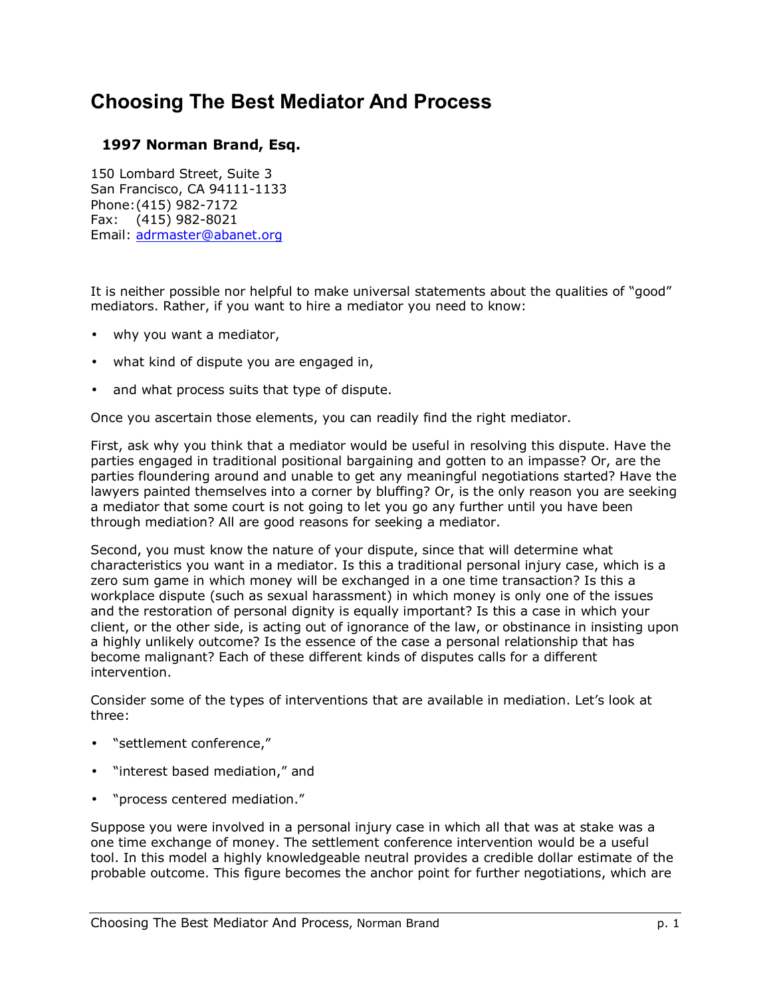## **Choosing The Best Mediator And Process**

## **1997 Norman Brand, Esq.**

150 Lombard Street, Suite 3 San Francisco, CA 94111-1133 Phone: (415) 982-7172 Fax: (415) 982-8021 Email: adrmaster@abanet.org

It is neither possible nor helpful to make universal statements about the qualities of "good" mediators. Rather, if you want to hire a mediator you need to know:

- why you want a mediator,
- what kind of dispute you are engaged in,
- and what process suits that type of dispute.

Once you ascertain those elements, you can readily find the right mediator.

First, ask why you think that a mediator would be useful in resolving this dispute. Have the parties engaged in traditional positional bargaining and gotten to an impasse? Or, are the parties floundering around and unable to get any meaningful negotiations started? Have the lawyers painted themselves into a corner by bluffing? Or, is the only reason you are seeking a mediator that some court is not going to let you go any further until you have been through mediation? All are good reasons for seeking a mediator.

Second, you must know the nature of your dispute, since that will determine what characteristics you want in a mediator. Is this a traditional personal injury case, which is a zero sum game in which money will be exchanged in a one time transaction? Is this a workplace dispute (such as sexual harassment) in which money is only one of the issues and the restoration of personal dignity is equally important? Is this a case in which your client, or the other side, is acting out of ignorance of the law, or obstinance in insisting upon a highly unlikely outcome? Is the essence of the case a personal relationship that has become malignant? Each of these different kinds of disputes calls for a different intervention.

Consider some of the types of interventions that are available in mediation. Let's look at three:

- "settlement conference,"
- "interest based mediation," and
- "process centered mediation."

Suppose you were involved in a personal injury case in which all that was at stake was a one time exchange of money. The settlement conference intervention would be a useful tool. In this model a highly knowledgeable neutral provides a credible dollar estimate of the probable outcome. This figure becomes the anchor point for further negotiations, which are